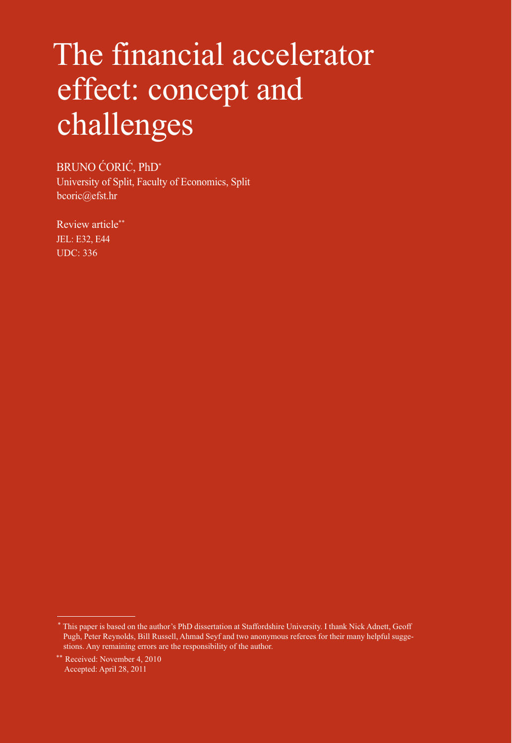# The financial accelerator effect: concept and challenges

BRUNO ĆORIĆ, PhD\*<sup>1</sup>

University of Split, Faculty of Economics, Split bcoric@efst.hr

Review article\*\* JEL: E32, E44 UDC: 336

 <sup>\*</sup> This paper is based on the author's PhD dissertation at Staffordshire University. I thank Nick Adnett, Geoff Pugh, Peter Reynolds, Bill Russell, Ahmad Seyf and two anonymous referees for their many helpful suggestions. Any remaining errors are the responsibility of the author.

<sup>\*\*</sup> Received: November 4, 2010 Accepted: April 28, 2011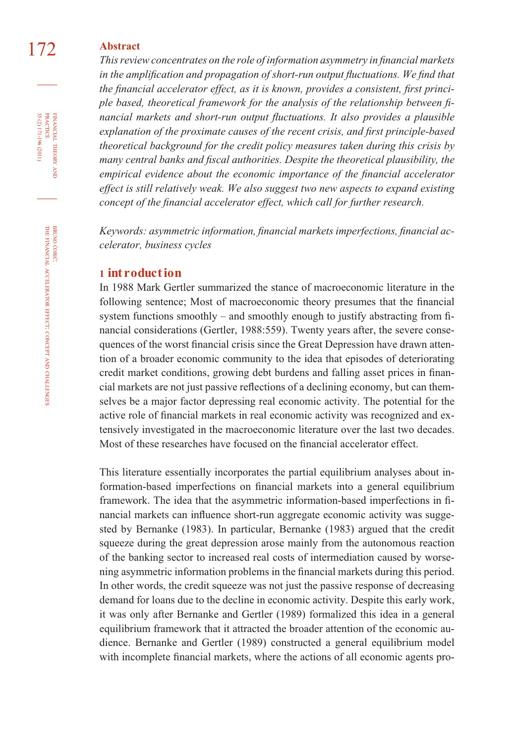# 172 **Abstract**

This review concentrates on the role of information asymmetry in financial markets in the amplification and propagation of short-run output fluctuations. We find that the financial accelerator effect, as it is known, provides a consistent, first princi*ple based, theoretical framework for the analysis of the relationship between fi nancial markets and short-run output fluctuations. It also provides a plausible explanation of the proximate causes of the recent crisis, and first principle-based theoretical background for the credit policy measures taken during this crisis by*  many central banks and fiscal authorities. Despite the theoretical plausibility, the *empirical evidence about the economic importance of the financial accelerator effect is still relatively weak. We also suggest two new aspects to expand existing concept of the financial accelerator effect, which call for further research.* 

Keywords: asymmetric information, financial markets imperfections, financial ac*celerator, business cycles*

#### **1 int roduct ion**

In 1988 Mark Gertler summarized the stance of macroeconomic literature in the following sentence; Most of macroeconomic theory presumes that the financial system functions smoothly – and smoothly enough to justify abstracting from financial considerations (Gertler, 1988:559). Twenty years after, the severe consequences of the worst financial crisis since the Great Depression have drawn attention of a broader economic community to the idea that episodes of deteriorating credit market conditions, growing debt burdens and falling asset prices in financial markets are not just passive reflections of a declining economy, but can themselves be a major factor depressing real economic activity. The potential for the active role of financial markets in real economic activity was recognized and extensively investigated in the macroeconomic literature over the last two decades. Most of these researches have focused on the financial accelerator effect.

This literature essentially incorporates the partial equilibrium analyses about information-based imperfections on financial markets into a general equilibrium framework. The idea that the asymmetric information-based imperfections in financial markets can influence short-run aggregate economic activity was suggested by Bernanke (1983). In particular, Bernanke (1983) argued that the credit squeeze during the great depression arose mainly from the autonomous reaction of the banking sector to increased real costs of intermediation caused by worsening asymmetric information problems in the financial markets during this period. In other words, the credit squeeze was not just the passive response of decreasing demand for loans due to the decline in economic activity. Despite this early work, it was only after Bernanke and Gertler (1989) formalized this idea in a general equilibrium framework that it attracted the broader attention of the economic audience. Bernanke and Gertler (1989) constructed a general equilibrium model with incomplete financial markets, where the actions of all economic agents pro-

FINANCIAL THEORY AND PRACTICE 35 (2) 171-196 (2011) 35 (2) 171-196 (2011) PRACTICE FINANCIAL THEORY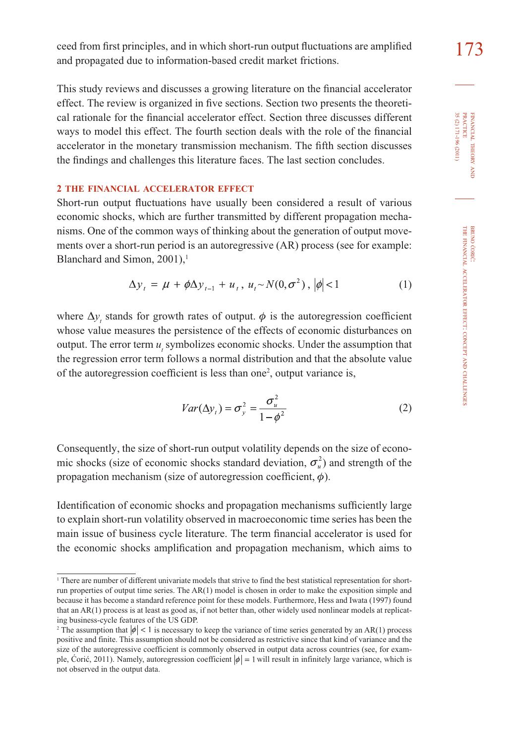ceed from first principles, and in which short-run output fluctuations are amplified  $173$ and propagated due to information-based credit market frictions.

This study reviews and discusses a growing literature on the financial accelerator effect. The review is organized in five sections. Section two presents the theoretical rationale for the financial accelerator effect. Section three discusses different ways to model this effect. The fourth section deals with the role of the financial accelerator in the monetary transmission mechanism. The fifth section discusses the findings and challenges this literature faces. The last section concludes.

### **2 THE FINANCIAL ACCELERATOR EFFECT**

Short-run output fluctuations have usually been considered a result of various economic shocks, which are further transmitted by different propagation mechanisms. One of the common ways of thinking about the generation of output movements over a short-run period is an autoregressive (AR) process (see for example: Blanchard and Simon,  $2001$ ),<sup>1</sup>

$$
\Delta y_{t} = \mu + \phi \Delta y_{t-1} + u_{t}, \ u_{t} \sim N(0, \sigma^{2}), |\phi| < 1
$$
 (1)

where  $\Delta y_t$  stands for growth rates of output.  $\phi$  is the autoregression coefficient whose value measures the persistence of the effects of economic disturbances on output. The error term  $u$ , symbolizes economic shocks. Under the assumption that the regression error term follows a normal distribution and that the absolute value of the autoregression coefficient is less than one<sup>2</sup>, output variance is,

$$
Var(\Delta y_t) = \sigma_y^2 = \frac{\sigma_u^2}{1 - \phi^2}
$$
 (2)

Consequently, the size of short-run output volatility depends on the size of economic shocks (size of economic shocks standard deviation,  $\sigma_u^2$ ) and strength of the propagation mechanism (size of autoregression coefficient,  $\phi$ ).

Identification of economic shocks and propagation mechanisms sufficiently large to explain short-run volatility observed in macroeconomic time series has been the main issue of business cycle literature. The term financial accelerator is used for the economic shocks amplification and propagation mechanism, which aims to

<sup>1</sup> There are number of different univariate models that strive to find the best statistical representation for shortrun properties of output time series. The AR(1) model is chosen in order to make the exposition simple and because it has become a standard reference point for these models. Furthermore, Hess and Iwata (1997) found that an AR(1) process is at least as good as, if not better than, other widely used nonlinear models at replicating business-cycle features of the US GDP.

<sup>&</sup>lt;sup>2</sup> The assumption that  $|\phi| < 1$  is necessary to keep the variance of time series generated by an AR(1) process positive and finite. This assumption should not be considered as restrictive since that kind of variance and the size of the autoregressive coefficient is commonly observed in output data across countries (see, for example, Ćorić, 2011). Namely, autoregression coefficient  $|\phi| = 1$  will result in infinitely large variance, which is not observed in the output data.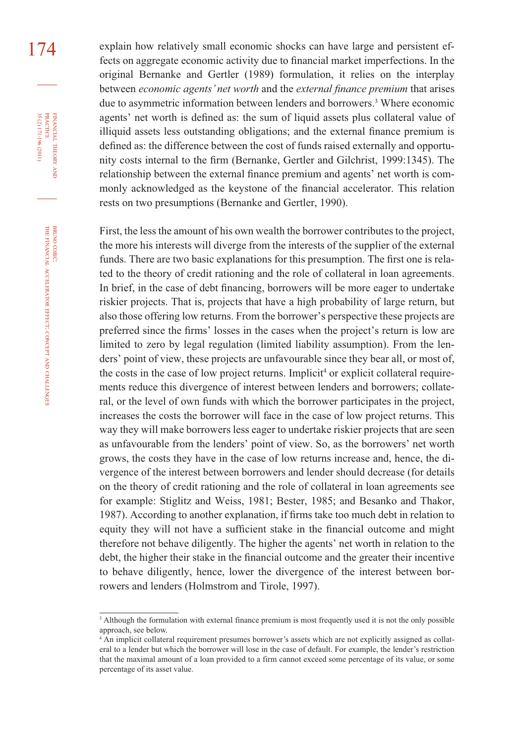174 explain how relatively small economic shocks can have large and persistent effects on aggregate economic activity due to financial market imperfections. In the original Bernanke and Gertler (1989) formulation, it relies on the interplay between *economic agents' net worth* and the *external finance premium* that arises due to asymmetric information between lenders and borrowers.3 Where economic agents' net worth is defined as: the sum of liquid assets plus collateral value of illiquid assets less outstanding obligations; and the external finance premium is defined as: the difference between the cost of funds raised externally and opportunity costs internal to the firm (Bernanke, Gertler and Gilchrist, 1999:1345). The relationship between the external finance premium and agents' net worth is commonly acknowledged as the keystone of the financial accelerator. This relation rests on two presumptions (Bernanke and Gertler, 1990).

> First, the less the amount of his own wealth the borrower contributes to the project, the more his interests will diverge from the interests of the supplier of the external funds. There are two basic explanations for this presumption. The first one is related to the theory of credit rationing and the role of collateral in loan agreements. In brief, in the case of debt financing, borrowers will be more eager to undertake riskier projects. That is, projects that have a high probability of large return, but also those offering low returns. From the borrower's perspective these projects are preferred since the firms' losses in the cases when the project's return is low are limited to zero by legal regulation (limited liability assumption). From the lenders' point of view, these projects are unfavourable since they bear all, or most of, the costs in the case of low project returns. Implicit<sup>4</sup> or explicit collateral requirements reduce this divergence of interest between lenders and borrowers; collateral, or the level of own funds with which the borrower participates in the project, increases the costs the borrower will face in the case of low project returns. This way they will make borrowers less eager to undertake riskier projects that are seen as unfavourable from the lenders' point of view. So, as the borrowers' net worth grows, the costs they have in the case of low returns increase and, hence, the divergence of the interest between borrowers and lender should decrease (for details on the theory of credit rationing and the role of collateral in loan agreements see for example: Stiglitz and Weiss, 1981; Bester, 1985; and Besanko and Thakor, 1987). According to another explanation, if firms take too much debt in relation to equity they will not have a sufficient stake in the financial outcome and might therefore not behave diligently. The higher the agents' net worth in relation to the debt, the higher their stake in the financial outcome and the greater their incentive to behave diligently, hence, lower the divergence of the interest between borrowers and lenders (Holmstrom and Tirole, 1997).

FINANCIAL THEORY AND PRACTICE 35 (2) 171-196 (2011) 35 (2) 171-196 (2011) PRACTICE FINANCIAL THEORY

<sup>&</sup>lt;sup>3</sup> Although the formulation with external finance premium is most frequently used it is not the only possible approach, see below.

<sup>4</sup> An implicit collateral requirement presumes borrower's assets which are not explicitly assigned as collateral to a lender but which the borrower will lose in the case of default. For example, the lender's restriction that the maximal amount of a loan provided to a firm cannot exceed some percentage of its value, or some percentage of its asset value.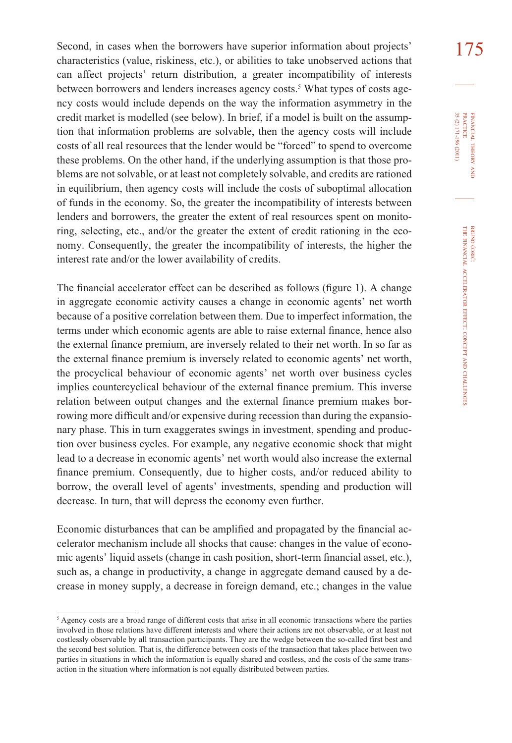Second, in cases when the borrowers have superior information about projects' 175 characteristics (value, riskiness, etc.), or abilities to take unobserved actions that can affect projects' return distribution, a greater incompatibility of interests between borrowers and lenders increases agency costs.<sup>5</sup> What types of costs agency costs would include depends on the way the information asymmetry in the credit market is modelled (see below). In brief, if a model is built on the assumption that information problems are solvable, then the agency costs will include costs of all real resources that the lender would be "forced" to spend to overcome these problems. On the other hand, if the underlying assumption is that those problems are not solvable, or at least not completely solvable, and credits are rationed in equilibrium, then agency costs will include the costs of suboptimal allocation of funds in the economy. So, the greater the incompatibility of interests between lenders and borrowers, the greater the extent of real resources spent on monitoring, selecting, etc., and/or the greater the extent of credit rationing in the economy. Consequently, the greater the incompatibility of interests, the higher the interest rate and/or the lower availability of credits.

The financial accelerator effect can be described as follows (figure 1). A change in aggregate economic activity causes a change in economic agents' net worth because of a positive correlation between them. Due to imperfect information, the terms under which economic agents are able to raise external finance, hence also the external finance premium, are inversely related to their net worth. In so far as the external finance premium is inversely related to economic agents' net worth, the procyclical behaviour of economic agents' net worth over business cycles implies countercyclical behaviour of the external finance premium. This inverse relation between output changes and the external finance premium makes borrowing more difficult and/or expensive during recession than during the expansionary phase. This in turn exaggerates swings in investment, spending and production over business cycles. For example, any negative economic shock that might lead to a decrease in economic agents' net worth would also increase the external finance premium. Consequently, due to higher costs, and/or reduced ability to borrow, the overall level of agents' investments, spending and production will decrease. In turn, that will depress the economy even further.

Economic disturbances that can be amplified and propagated by the financial accelerator mechanism include all shocks that cause: changes in the value of economic agents' liquid assets (change in cash position, short-term financial asset, etc.), such as, a change in productivity, a change in aggregate demand caused by a decrease in money supply, a decrease in foreign demand, etc.; changes in the value

<sup>5</sup> Agency costs are a broad range of different costs that arise in all economic transactions where the parties involved in those relations have different interests and where their actions are not observable, or at least not costlessly observable by all transaction participants. They are the wedge between the so-called first best and the second best solution. That is, the difference between costs of the transaction that takes place between two parties in situations in which the information is equally shared and costless, and the costs of the same transaction in the situation where information is not equally distributed between parties.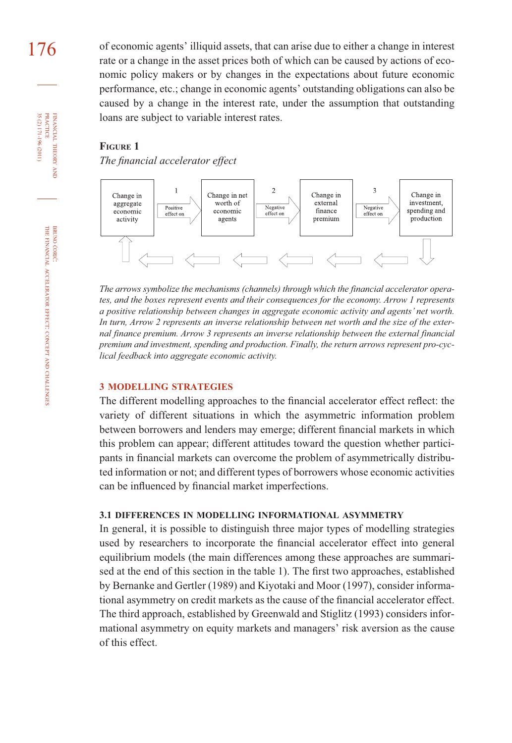176 of economic agents' illiquid assets, that can arise due to either a change in interest rate or a change in the asset prices both of which can be caused by actions of economic policy makers or by changes in the expectations about future economic performance, etc.; change in economic agents' outstanding obligations can also be caused by a change in the interest rate, under the assumption that outstanding loans are subject to variable interest rates.

#### **FIGURE 1**

*The financial accelerator effect* 



*The arrows symbolize the mechanisms (channels) through which the financial accelerator operates, and the boxes represent events and their consequences for the economy. Arrow 1 represents a positive relationship between changes in aggregate economic activity and agents' net worth. In turn, Arrow 2 represents an inverse relationship between net worth and the size of the external finance premium. Arrow 3 represents an inverse relationship between the external financial premium and investment, spending and production. Finally, the return arrows represent pro-cyclical feedback into aggregate economic activity.*

#### **3 MODELLING STRATEGIES**

The different modelling approaches to the financial accelerator effect reflect: the variety of different situations in which the asymmetric information problem between borrowers and lenders may emerge; different financial markets in which this problem can appear; different attitudes toward the question whether participants in financial markets can overcome the problem of asymmetrically distributed information or not; and different types of borrowers whose economic activities can be influenced by financial market imperfections.

#### **3.1 DIFFERENCES IN MODELLING INFORMATIONAL ASYMMETRY**

In general, it is possible to distinguish three major types of modelling strategies used by researchers to incorporate the financial accelerator effect into general equilibrium models (the main differences among these approaches are summarised at the end of this section in the table 1). The first two approaches, established by Bernanke and Gertler (1989) and Kiyotaki and Moor (1997), consider informational asymmetry on credit markets as the cause of the financial accelerator effect. The third approach, established by Greenwald and Stiglitz (1993) considers informational asymmetry on equity markets and managers' risk aversion as the cause of this effect.

BRUNO ĆORIĆ:

FINANCIAL

FINANCIAL THEORY<br>PRACTICE 35 (2) 171-196 (2011)

35 (2) 171-196 (2011) PRACTICE

THEORY AND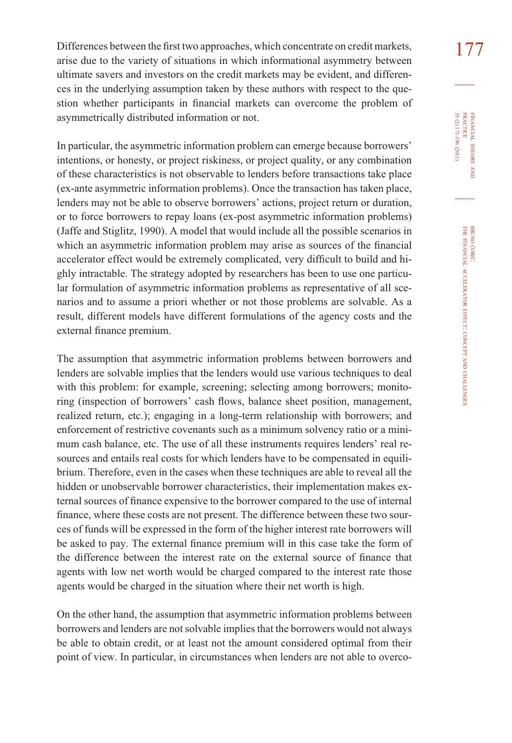Differences between the first two approaches, which concentrate on credit markets,  $177$ arise due to the variety of situations in which informational asymmetry between ultimate savers and investors on the credit markets may be evident, and differences in the underlying assumption taken by these authors with respect to the question whether participants in financial markets can overcome the problem of asymmetrically distributed information or not.

In particular, the asymmetric information problem can emerge because borrowers' intentions, or honesty, or project riskiness, or project quality, or any combination of these characteristics is not observable to lenders before transactions take place (ex-ante asymmetric information problems). Once the transaction has taken place, lenders may not be able to observe borrowers' actions, project return or duration, or to force borrowers to repay loans (ex-post asymmetric information problems) (Jaffe and Stiglitz, 1990). A model that would include all the possible scenarios in which an asymmetric information problem may arise as sources of the financial accelerator effect would be extremely complicated, very difficult to build and highly intractable. The strategy adopted by researchers has been to use one particular formulation of asymmetric information problems as representative of all scenarios and to assume a priori whether or not those problems are solvable. As a result, different models have different formulations of the agency costs and the external finance premium.

The assumption that asymmetric information problems between borrowers and lenders are solvable implies that the lenders would use various techniques to deal with this problem: for example, screening; selecting among borrowers; monitoring (inspection of borrowers' cash flows, balance sheet position, management, realized return, etc.); engaging in a long-term relationship with borrowers; and enforcement of restrictive covenants such as a minimum solvency ratio or a minimum cash balance, etc. The use of all these instruments requires lenders' real resources and entails real costs for which lenders have to be compensated in equilibrium. Therefore, even in the cases when these techniques are able to reveal all the hidden or unobservable borrower characteristics, their implementation makes external sources of finance expensive to the borrower compared to the use of internal finance, where these costs are not present. The difference between these two sources of funds will be expressed in the form of the higher interest rate borrowers will be asked to pay. The external finance premium will in this case take the form of the difference between the interest rate on the external source of finance that agents with low net worth would be charged compared to the interest rate those agents would be charged in the situation where their net worth is high.

On the other hand, the assumption that asymmetric information problems between borrowers and lenders are not solvable implies that the borrowers would not always be able to obtain credit, or at least not the amount considered optimal from their point of view. In particular, in circumstances when lenders are not able to overco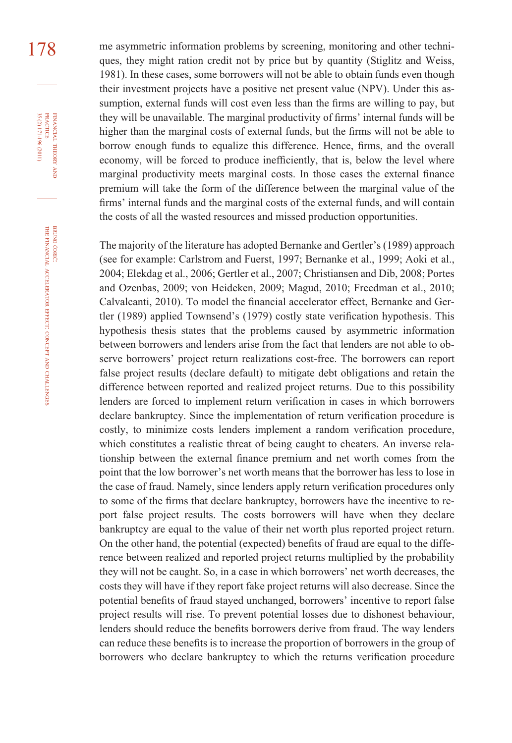178 me asymmetric information problems by screening, monitoring and other techniques, they might ration credit not by price but by quantity (Stiglitz and Weiss, 1981). In these cases, some borrowers will not be able to obtain funds even though their investment projects have a positive net present value (NPV). Under this assumption, external funds will cost even less than the firms are willing to pay, but they will be unavailable. The marginal productivity of firms' internal funds will be higher than the marginal costs of external funds, but the firms will not be able to borrow enough funds to equalize this difference. Hence, firms, and the overall economy, will be forced to produce inefficiently, that is, below the level where marginal productivity meets marginal costs. In those cases the external finance premium will take the form of the difference between the marginal value of the firms' internal funds and the marginal costs of the external funds, and will contain the costs of all the wasted resources and missed production opportunities.

> The majority of the literature has adopted Bernanke and Gertler's (1989) approach (see for example: Carlstrom and Fuerst, 1997; Bernanke et al., 1999; Aoki et al., 2004; Elekdag et al., 2006; Gertler et al., 2007; Christiansen and Dib, 2008; Portes and Ozenbas, 2009; von Heideken, 2009; Magud, 2010; Freedman et al., 2010; Calvalcanti, 2010). To model the financial accelerator effect, Bernanke and Gertler (1989) applied Townsend's (1979) costly state verification hypothesis. This hypothesis thesis states that the problems caused by asymmetric information between borrowers and lenders arise from the fact that lenders are not able to observe borrowers' project return realizations cost-free. The borrowers can report false project results (declare default) to mitigate debt obligations and retain the difference between reported and realized project returns. Due to this possibility lenders are forced to implement return verification in cases in which borrowers declare bankruptcy. Since the implementation of return verification procedure is costly, to minimize costs lenders implement a random verification procedure, which constitutes a realistic threat of being caught to cheaters. An inverse relationship between the external finance premium and net worth comes from the point that the low borrower's net worth means that the borrower has less to lose in the case of fraud. Namely, since lenders apply return verification procedures only to some of the firms that declare bankruptcy, borrowers have the incentive to report false project results. The costs borrowers will have when they declare bankruptcy are equal to the value of their net worth plus reported project return. On the other hand, the potential (expected) benefits of fraud are equal to the difference between realized and reported project returns multiplied by the probability they will not be caught. So, in a case in which borrowers' net worth decreases, the costs they will have if they report fake project returns will also decrease. Since the potential benefits of fraud stayed unchanged, borrowers' incentive to report false project results will rise. To prevent potential losses due to dishonest behaviour, lenders should reduce the benefits borrowers derive from fraud. The way lenders can reduce these benefits is to increase the proportion of borrowers in the group of borrowers who declare bankruptcy to which the returns verification procedure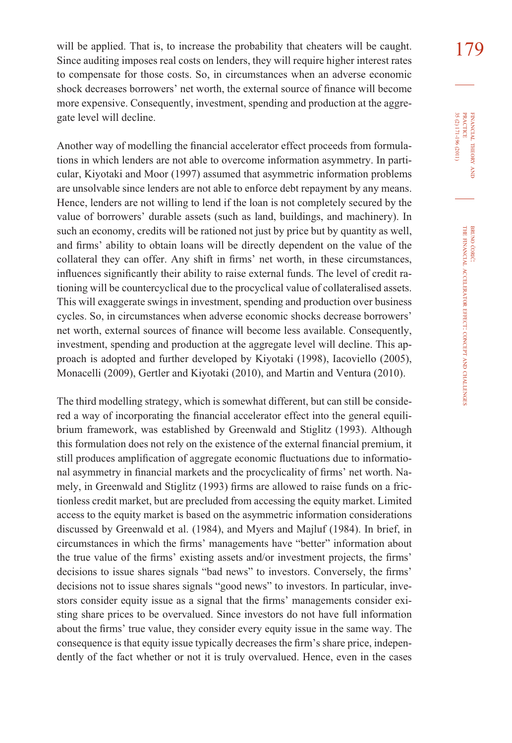will be applied. That is, to increase the probability that cheaters will be caught.  $179$ Since auditing imposes real costs on lenders, they will require higher interest rates to compensate for those costs. So, in circumstances when an adverse economic shock decreases borrowers' net worth, the external source of finance will become more expensive. Consequently, investment, spending and production at the aggregate level will decline.

Another way of modelling the financial accelerator effect proceeds from formulations in which lenders are not able to overcome information asymmetry. In particular, Kiyotaki and Moor (1997) assumed that asymmetric information problems are unsolvable since lenders are not able to enforce debt repayment by any means. Hence, lenders are not willing to lend if the loan is not completely secured by the value of borrowers' durable assets (such as land, buildings, and machinery). In such an economy, credits will be rationed not just by price but by quantity as well, and firms' ability to obtain loans will be directly dependent on the value of the collateral they can offer. Any shift in firms' net worth, in these circumstances, influences significantly their ability to raise external funds. The level of credit rationing will be countercyclical due to the procyclical value of collateralised assets. This will exaggerate swings in investment, spending and production over business cycles. So, in circumstances when adverse economic shocks decrease borrowers' net worth, external sources of finance will become less available. Consequently, investment, spending and production at the aggregate level will decline. This approach is adopted and further developed by Kiyotaki (1998), Iacoviello (2005), Monacelli (2009), Gertler and Kiyotaki (2010), and Martin and Ventura (2010).

The third modelling strategy, which is somewhat different, but can still be considered a way of incorporating the financial accelerator effect into the general equilibrium framework, was established by Greenwald and Stiglitz (1993). Although this formulation does not rely on the existence of the external financial premium, it still produces amplification of aggregate economic fluctuations due to informational asymmetry in financial markets and the procyclicality of firms' net worth. Namely, in Greenwald and Stiglitz (1993) firms are allowed to raise funds on a frictionless credit market, but are precluded from accessing the equity market. Limited access to the equity market is based on the asymmetric information considerations discussed by Greenwald et al. (1984), and Myers and Majluf (1984). In brief, in circumstances in which the firms' managements have "better" information about the true value of the firms' existing assets and/or investment projects, the firms' decisions to issue shares signals "bad news" to investors. Conversely, the firms' decisions not to issue shares signals "good news" to investors. In particular, investors consider equity issue as a signal that the firms' managements consider existing share prices to be overvalued. Since investors do not have full information about the firms' true value, they consider every equity issue in the same way. The consequence is that equity issue typically decreases the firm's share price, independently of the fact whether or not it is truly overvalued. Hence, even in the cases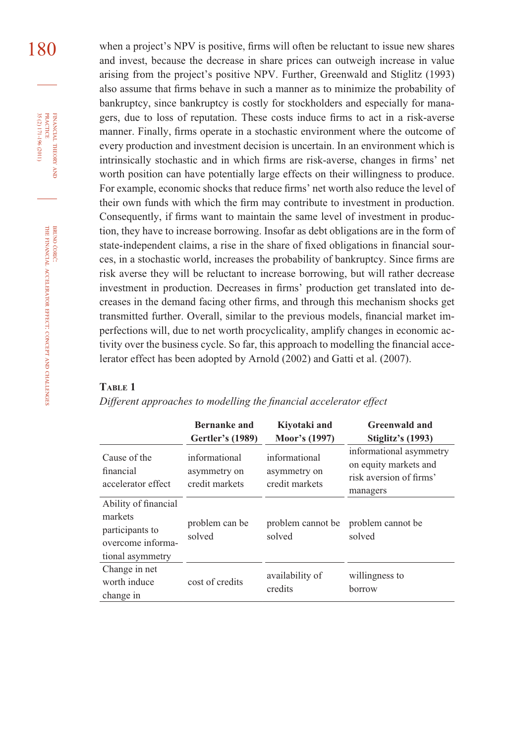180 when a project's NPV is positive, firms will often be reluctant to issue new shares and invest, because the decrease in share prices can outweigh increase in value arising from the project's positive NPV. Further, Greenwald and Stiglitz (1993) also assume that firms behave in such a manner as to minimize the probability of bankruptcy, since bankruptcy is costly for stockholders and especially for managers, due to loss of reputation. These costs induce firms to act in a risk-averse manner. Finally, firms operate in a stochastic environment where the outcome of every production and investment decision is uncertain. In an environment which is intrinsically stochastic and in which firms are risk-averse, changes in firms' net worth position can have potentially large effects on their willingness to produce. For example, economic shocks that reduce firms' net worth also reduce the level of their own funds with which the firm may contribute to investment in production. Consequently, if firms want to maintain the same level of investment in production, they have to increase borrowing. Insofar as debt obligations are in the form of state-independent claims, a rise in the share of fixed obligations in financial sources, in a stochastic world, increases the probability of bankruptcy. Since firms are risk averse they will be reluctant to increase borrowing, but will rather decrease investment in production. Decreases in firms' production get translated into decreases in the demand facing other firms, and through this mechanism shocks get transmitted further. Overall, similar to the previous models, financial market imperfections will, due to net worth procyclicality, amplify changes in economic activity over the business cycle. So far, this approach to modelling the financial accelerator effect has been adopted by Arnold (2002) and Gatti et al. (2007).

#### **TABLE 1**

*Different approaches to modelling the financial accelerator effect* 

|                                                                                             | <b>Bernanke and</b><br><b>Gertler's (1989)</b>  | Kiyotaki and<br>Moor's (1997)                   | <b>Greenwald and</b><br><b>Stiglitz's (1993)</b>                                        |
|---------------------------------------------------------------------------------------------|-------------------------------------------------|-------------------------------------------------|-----------------------------------------------------------------------------------------|
| Cause of the<br>financial<br>accelerator effect                                             | informational<br>asymmetry on<br>credit markets | informational<br>asymmetry on<br>credit markets | informational asymmetry<br>on equity markets and<br>risk aversion of firms'<br>managers |
| Ability of financial<br>markets<br>participants to<br>overcome informa-<br>tional asymmetry | problem can be<br>solved                        | problem cannot be<br>solved                     | problem cannot be<br>solved                                                             |
| Change in net<br>worth induce<br>change in                                                  | cost of credits                                 | availability of<br>credits                      | willingness to<br>borrow                                                                |

FINANCIAL

THEORY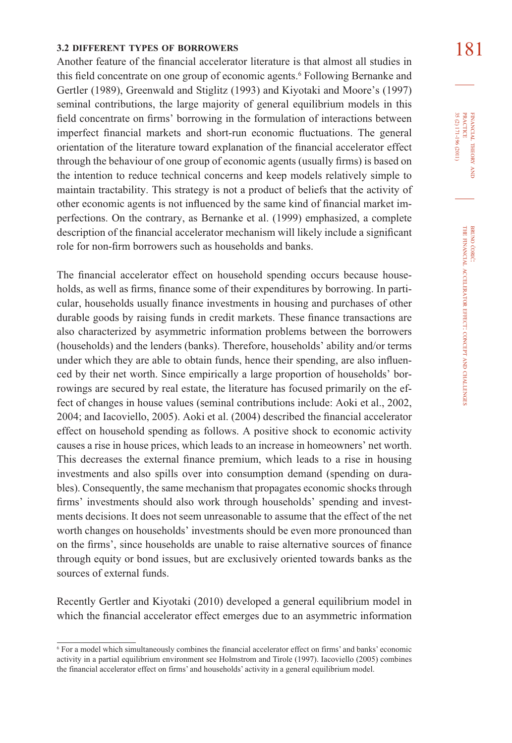# **181 181 181 181 181 181 181 181 181 181 181 181 181 181 181 181 181 181 181 181 181 181 181 181 181 181 181 181 181 181 181 181 181 181 181 181 181**

Another feature of the financial accelerator literature is that almost all studies in this field concentrate on one group of economic agents.<sup>6</sup> Following Bernanke and Gertler (1989), Greenwald and Stiglitz (1993) and Kiyotaki and Moore's (1997) seminal contributions, the large majority of general equilibrium models in this field concentrate on firms' borrowing in the formulation of interactions between imperfect financial markets and short-run economic fluctuations. The general orientation of the literature toward explanation of the financial accelerator effect through the behaviour of one group of economic agents (usually firms) is based on the intention to reduce technical concerns and keep models relatively simple to maintain tractability. This strategy is not a product of beliefs that the activity of other economic agents is not influenced by the same kind of financial market imperfections. On the contrary, as Bernanke et al. (1999) emphasized, a complete description of the financial accelerator mechanism will likely include a significant role for non-firm borrowers such as households and banks.

The financial accelerator effect on household spending occurs because households, as well as firms, finance some of their expenditures by borrowing. In particular, households usually finance investments in housing and purchases of other durable goods by raising funds in credit markets. These finance transactions are also characterized by asymmetric information problems between the borrowers (households) and the lenders (banks). Therefore, households' ability and/or terms under which they are able to obtain funds, hence their spending, are also influenced by their net worth. Since empirically a large proportion of households' borrowings are secured by real estate, the literature has focused primarily on the effect of changes in house values (seminal contributions include: Aoki et al., 2002,  $2004$ ; and Iacoviello,  $2005$ ). Aoki et al.  $(2004)$  described the financial accelerator effect on household spending as follows. A positive shock to economic activity causes a rise in house prices, which leads to an increase in homeowners' net worth. This decreases the external finance premium, which leads to a rise in housing investments and also spills over into consumption demand (spending on durables). Consequently, the same mechanism that propagates economic shocks through firms' investments should also work through households' spending and investments decisions. It does not seem unreasonable to assume that the effect of the net worth changes on households' investments should be even more pronounced than on the firms', since households are unable to raise alternative sources of finance through equity or bond issues, but are exclusively oriented towards banks as the sources of external funds.

Recently Gertler and Kiyotaki (2010) developed a general equilibrium model in which the financial accelerator effect emerges due to an asymmetric information

FINANCIAL THEORY FINANCIAL THEORY AND<br>PRACTICE<br>35 (2) 171-196 (2011) 35 (2) 171-196 (2011) PRACTICE

<sup>6</sup> For a model which simultaneously combines the financial accelerator effect on firms' and banks' economic activity in a partial equilibrium environment see Holmstrom and Tirole (1997). Iacoviello (2005) combines the financial accelerator effect on firms' and households' activity in a general equilibrium model.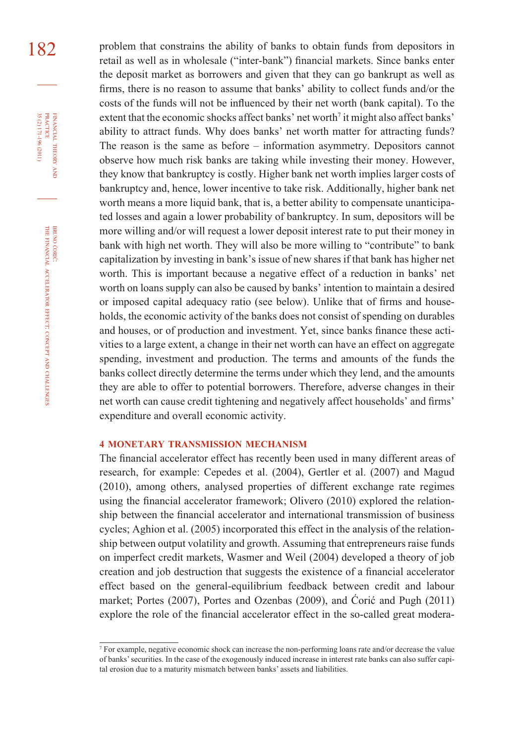182 problem that constrains the ability of banks to obtain funds from depositors in retail as well as in wholesale ("inter-bank") financial markets. Since banks enter the deposit market as borrowers and given that they can go bankrupt as well as firms, there is no reason to assume that banks' ability to collect funds and/or the costs of the funds will not be influenced by their net worth (bank capital). To the extent that the economic shocks affect banks' net worth<sup>7</sup> it might also affect banks' ability to attract funds. Why does banks' net worth matter for attracting funds? The reason is the same as before – information asymmetry. Depositors cannot observe how much risk banks are taking while investing their money. However, they know that bankruptcy is costly. Higher bank net worth implies larger costs of bankruptcy and, hence, lower incentive to take risk. Additionally, higher bank net worth means a more liquid bank, that is, a better ability to compensate unanticipated losses and again a lower probability of bankruptcy. In sum, depositors will be more willing and/or will request a lower deposit interest rate to put their money in bank with high net worth. They will also be more willing to "contribute" to bank capitalization by investing in bank's issue of new shares if that bank has higher net worth. This is important because a negative effect of a reduction in banks' net worth on loans supply can also be caused by banks' intention to maintain a desired or imposed capital adequacy ratio (see below). Unlike that of firms and households, the economic activity of the banks does not consist of spending on durables and houses, or of production and investment. Yet, since banks finance these activities to a large extent, a change in their net worth can have an effect on aggregate spending, investment and production. The terms and amounts of the funds the banks collect directly determine the terms under which they lend, and the amounts they are able to offer to potential borrowers. Therefore, adverse changes in their net worth can cause credit tightening and negatively affect households' and firms' expenditure and overall economic activity.

#### **4 MONETARY TRANSMISSION MECHANISM**

The financial accelerator effect has recently been used in many different areas of research, for example: Cepedes et al. (2004), Gertler et al. (2007) and Magud (2010), among others, analysed properties of different exchange rate regimes using the financial accelerator framework; Olivero (2010) explored the relationship between the financial accelerator and international transmission of business cycles; Aghion et al. (2005) incorporated this effect in the analysis of the relationship between output volatility and growth. Assuming that entrepreneurs raise funds on imperfect credit markets, Wasmer and Weil (2004) developed a theory of job creation and job destruction that suggests the existence of a financial accelerator effect based on the general-equilibrium feedback between credit and labour market; Portes (2007), Portes and Ozenbas (2009), and Ćorić and Pugh (2011) explore the role of the financial accelerator effect in the so-called great modera-

FINANCIAL

PRACTICE

<sup>7</sup> For example, negative economic shock can increase the non-performing loans rate and/or decrease the value of banks' securities. In the case of the exogenously induced increase in interest rate banks can also suffer capital erosion due to a maturity mismatch between banks' assets and liabilities.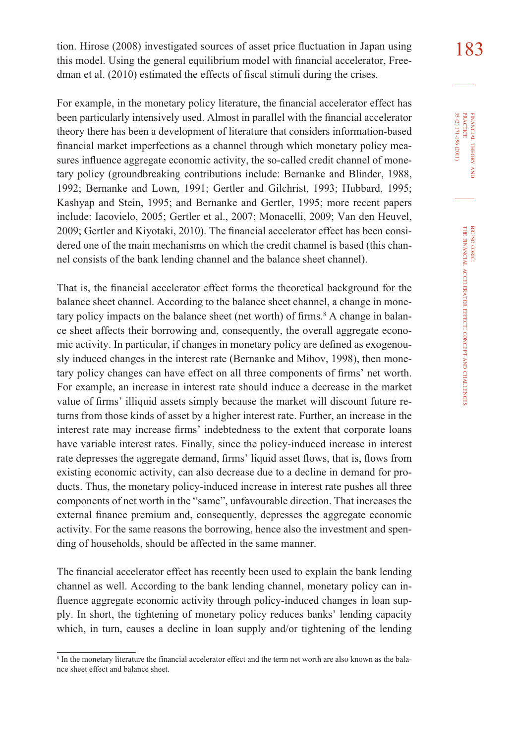tion. Hirose (2008) investigated sources of asset price fluctuation in Japan using  $\begin{array}{c} 183 \end{array}$ this model. Using the general equilibrium model with financial accelerator, Freedman et al. (2010) estimated the effects of fiscal stimuli during the crises.

For example, in the monetary policy literature, the financial accelerator effect has been particularly intensively used. Almost in parallel with the financial accelerator theory there has been a development of literature that considers information-based financial market imperfections as a channel through which monetary policy measures influence aggregate economic activity, the so-called credit channel of monetary policy (groundbreaking contributions include: Bernanke and Blinder, 1988, 1992; Bernanke and Lown, 1991; Gertler and Gilchrist, 1993; Hubbard, 1995; Kashyap and Stein, 1995; and Bernanke and Gertler, 1995; more recent papers include: Iacovielo, 2005; Gertler et al., 2007; Monacelli, 2009; Van den Heuvel, 2009; Gertler and Kiyotaki, 2010). The financial accelerator effect has been considered one of the main mechanisms on which the credit channel is based (this channel consists of the bank lending channel and the balance sheet channel).

That is, the financial accelerator effect forms the theoretical background for the balance sheet channel. According to the balance sheet channel, a change in monetary policy impacts on the balance sheet (net worth) of firms.<sup>8</sup> A change in balance sheet affects their borrowing and, consequently, the overall aggregate economic activity. In particular, if changes in monetary policy are defined as exogenously induced changes in the interest rate (Bernanke and Mihov, 1998), then monetary policy changes can have effect on all three components of firms' net worth. For example, an increase in interest rate should induce a decrease in the market value of firms' illiquid assets simply because the market will discount future returns from those kinds of asset by a higher interest rate. Further, an increase in the interest rate may increase firms' indebtedness to the extent that corporate loans have variable interest rates. Finally, since the policy-induced increase in interest rate depresses the aggregate demand, firms' liquid asset flows, that is, flows from existing economic activity, can also decrease due to a decline in demand for products. Thus, the monetary policy-induced increase in interest rate pushes all three components of net worth in the "same", unfavourable direction. That increases the external finance premium and, consequently, depresses the aggregate economic activity. For the same reasons the borrowing, hence also the investment and spending of households, should be affected in the same manner.

The financial accelerator effect has recently been used to explain the bank lending channel as well. According to the bank lending channel, monetary policy can influence aggregate economic activity through policy-induced changes in loan supply. In short, the tightening of monetary policy reduces banks' lending capacity which, in turn, causes a decline in loan supply and/or tightening of the lending

<sup>8</sup> In the monetary literature the financial accelerator effect and the term net worth are also known as the balance sheet effect and balance sheet.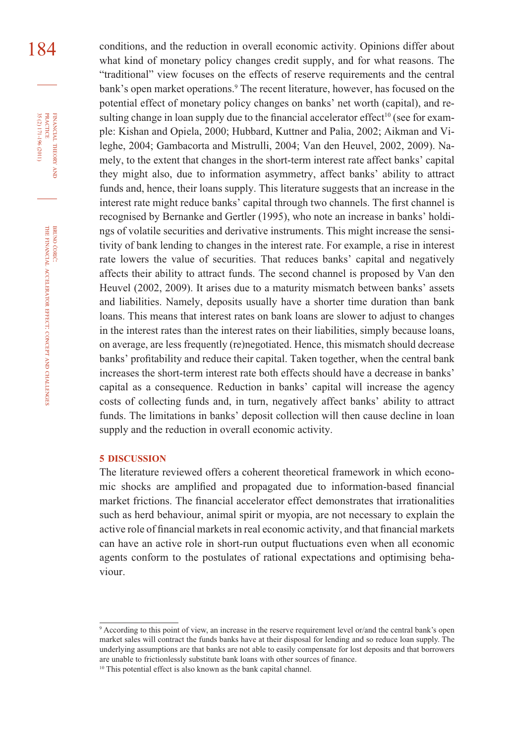184 conditions, and the reduction in overall economic activity. Opinions differ about what kind of monetary policy changes credit supply, and for what reasons. The "traditional" view focuses on the effects of reserve requirements and the central bank's open market operations.<sup>9</sup> The recent literature, however, has focused on the potential effect of monetary policy changes on banks' net worth (capital), and resulting change in loan supply due to the financial accelerator effect<sup>10</sup> (see for example: Kishan and Opiela, 2000; Hubbard, Kuttner and Palia, 2002; Aikman and Vileghe, 2004; Gambacorta and Mistrulli, 2004; Van den Heuvel, 2002, 2009). Namely, to the extent that changes in the short-term interest rate affect banks' capital they might also, due to information asymmetry, affect banks' ability to attract funds and, hence, their loans supply. This literature suggests that an increase in the interest rate might reduce banks' capital through two channels. The first channel is recognised by Bernanke and Gertler (1995), who note an increase in banks' holdings of volatile securities and derivative instruments. This might increase the sensitivity of bank lending to changes in the interest rate. For example, a rise in interest rate lowers the value of securities. That reduces banks' capital and negatively affects their ability to attract funds. The second channel is proposed by Van den Heuvel (2002, 2009). It arises due to a maturity mismatch between banks' assets and liabilities. Namely, deposits usually have a shorter time duration than bank loans. This means that interest rates on bank loans are slower to adjust to changes in the interest rates than the interest rates on their liabilities, simply because loans, on average, are less frequently (re)negotiated. Hence, this mismatch should decrease banks' profitability and reduce their capital. Taken together, when the central bank increases the short-term interest rate both effects should have a decrease in banks' capital as a consequence. Reduction in banks' capital will increase the agency costs of collecting funds and, in turn, negatively affect banks' ability to attract funds. The limitations in banks' deposit collection will then cause decline in loan supply and the reduction in overall economic activity.

#### **5 DISCUSSION**

The literature reviewed offers a coherent theoretical framework in which economic shocks are amplified and propagated due to information-based financial market frictions. The financial accelerator effect demonstrates that irrationalities such as herd behaviour, animal spirit or myopia, are not necessary to explain the active role of financial markets in real economic activity, and that financial markets can have an active role in short-run output fluctuations even when all economic agents conform to the postulates of rational expectations and optimising behaviour.

THEORY

<sup>9</sup> According to this point of view, an increase in the reserve requirement level or/and the central bank's open market sales will contract the funds banks have at their disposal for lending and so reduce loan supply. The underlying assumptions are that banks are not able to easily compensate for lost deposits and that borrowers are unable to frictionlessly substitute bank loans with other sources of finance.

<sup>&</sup>lt;sup>10</sup> This potential effect is also known as the bank capital channel.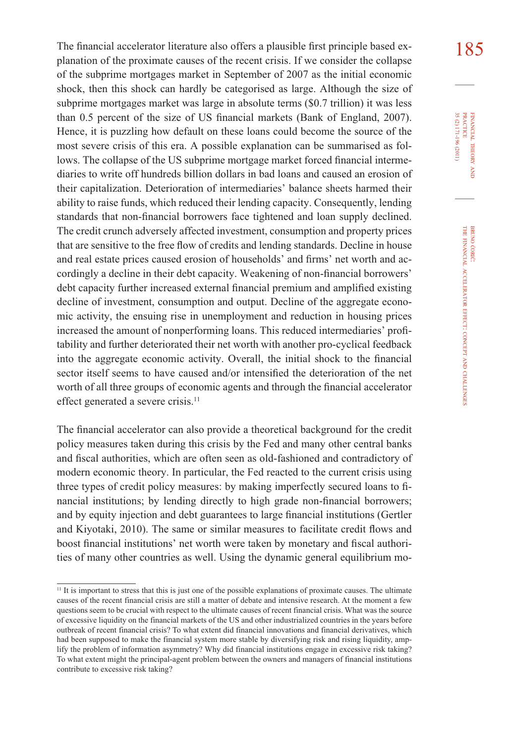The financial accelerator literature also offers a plausible first principle based ex- $\frac{185}{185}$ planation of the proximate causes of the recent crisis. If we consider the collapse of the subprime mortgages market in September of 2007 as the initial economic shock, then this shock can hardly be categorised as large. Although the size of subprime mortgages market was large in absolute terms (\$0.7 trillion) it was less than 0.5 percent of the size of US financial markets (Bank of England, 2007). Hence, it is puzzling how default on these loans could become the source of the most severe crisis of this era. A possible explanation can be summarised as follows. The collapse of the US subprime mortgage market forced financial intermediaries to write off hundreds billion dollars in bad loans and caused an erosion of their capitalization. Deterioration of intermediaries' balance sheets harmed their ability to raise funds, which reduced their lending capacity. Consequently, lending standards that non-financial borrowers face tightened and loan supply declined. The credit crunch adversely affected investment, consumption and property prices that are sensitive to the free flow of credits and lending standards. Decline in house and real estate prices caused erosion of households' and firms' net worth and accordingly a decline in their debt capacity. Weakening of non-financial borrowers' debt capacity further increased external financial premium and amplified existing decline of investment, consumption and output. Decline of the aggregate economic activity, the ensuing rise in unemployment and reduction in housing prices increased the amount of nonperforming loans. This reduced intermediaries' profitability and further deteriorated their net worth with another pro-cyclical feedback into the aggregate economic activity. Overall, the initial shock to the financial sector itself seems to have caused and/or intensified the deterioration of the net worth of all three groups of economic agents and through the financial accelerator effect generated a severe crisis.<sup>11</sup>

The financial accelerator can also provide a theoretical background for the credit policy measures taken during this crisis by the Fed and many other central banks and fiscal authorities, which are often seen as old-fashioned and contradictory of modern economic theory. In particular, the Fed reacted to the current crisis using three types of credit policy measures: by making imperfectly secured loans to financial institutions; by lending directly to high grade non-financial borrowers; and by equity injection and debt guarantees to large financial institutions (Gertler and Kiyotaki, 2010). The same or similar measures to facilitate credit flows and boost financial institutions' net worth were taken by monetary and fiscal authorities of many other countries as well. Using the dynamic general equilibrium mo-

 $11$  It is important to stress that this is just one of the possible explanations of proximate causes. The ultimate causes of the recent financial crisis are still a matter of debate and intensive research. At the moment a few questions seem to be crucial with respect to the ultimate causes of recent financial crisis. What was the source of excessive liquidity on the financial markets of the US and other industrialized countries in the years before outbreak of recent financial crisis? To what extent did financial innovations and financial derivatives, which had been supposed to make the financial system more stable by diversifying risk and rising liquidity, amplify the problem of information asymmetry? Why did financial institutions engage in excessive risk taking? To what extent might the principal-agent problem between the owners and managers of financial institutions contribute to excessive risk taking?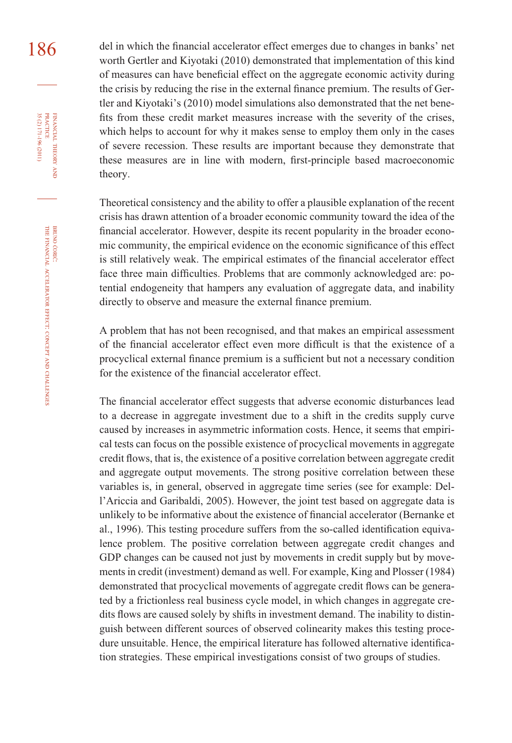186 del in which the financial accelerator effect emerges due to changes in banks' net worth Gertler and Kiyotaki (2010) demonstrated that implementation of this kind of measures can have beneficial effect on the aggregate economic activity during the crisis by reducing the rise in the external finance premium. The results of Gertler and Kiyotaki's (2010) model simulations also demonstrated that the net benefits from these credit market measures increase with the severity of the crises, which helps to account for why it makes sense to employ them only in the cases of severe recession. These results are important because they demonstrate that these measures are in line with modern, first-principle based macroeconomic theory.

> Theoretical consistency and the ability to offer a plausible explanation of the recent crisis has drawn attention of a broader economic community toward the idea of the financial accelerator. However, despite its recent popularity in the broader economic community, the empirical evidence on the economic significance of this effect is still relatively weak. The empirical estimates of the financial accelerator effect face three main difficulties. Problems that are commonly acknowledged are: potential endogeneity that hampers any evaluation of aggregate data, and inability directly to observe and measure the external finance premium.

> A problem that has not been recognised, and that makes an empirical assessment of the financial accelerator effect even more difficult is that the existence of a procyclical external finance premium is a sufficient but not a necessary condition for the existence of the financial accelerator effect.

> The financial accelerator effect suggests that adverse economic disturbances lead to a decrease in aggregate investment due to a shift in the credits supply curve caused by increases in asymmetric information costs. Hence, it seems that empirical tests can focus on the possible existence of procyclical movements in aggregate credit flows, that is, the existence of a positive correlation between aggregate credit and aggregate output movements. The strong positive correlation between these variables is, in general, observed in aggregate time series (see for example: Dell'Ariccia and Garibaldi, 2005). However, the joint test based on aggregate data is unlikely to be informative about the existence of financial accelerator (Bernanke et al., 1996). This testing procedure suffers from the so-called identification equivalence problem. The positive correlation between aggregate credit changes and GDP changes can be caused not just by movements in credit supply but by movements in credit (investment) demand as well. For example, King and Plosser (1984) demonstrated that procyclical movements of aggregate credit flows can be generated by a frictionless real business cycle model, in which changes in aggregate credits flows are caused solely by shifts in investment demand. The inability to distinguish between different sources of observed colinearity makes this testing procedure unsuitable. Hence, the empirical literature has followed alternative identification strategies. These empirical investigations consist of two groups of studies.

FINANCIAL

35 (2) 171-196 (2011)

THEORY FINANCIAL THEORY AND PRACTICE 35 (2) 171-196 (2011) PRACTICE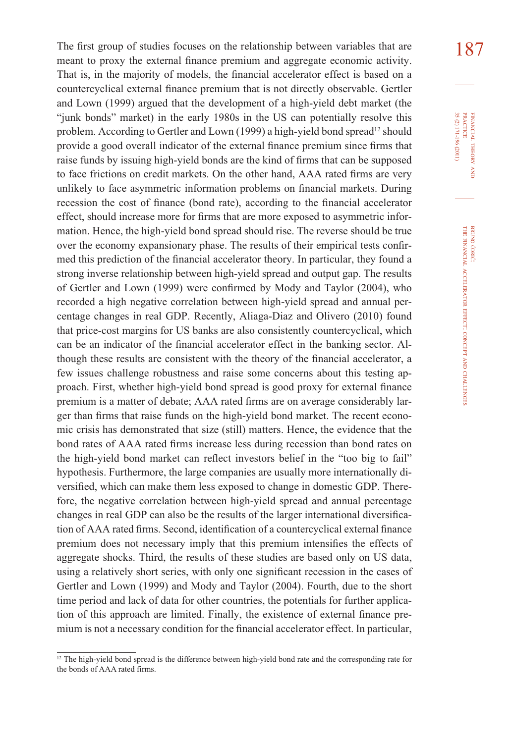The first group of studies focuses on the relationship between variables that are  $187$ meant to proxy the external finance premium and aggregate economic activity. That is, in the majority of models, the financial accelerator effect is based on a countercyclical external finance premium that is not directly observable. Gertler and Lown (1999) argued that the development of a high-yield debt market (the "junk bonds" market) in the early 1980s in the US can potentially resolve this problem. According to Gertler and Lown (1999) a high-yield bond spread<sup>12</sup> should provide a good overall indicator of the external finance premium since firms that raise funds by issuing high-yield bonds are the kind of firms that can be supposed to face frictions on credit markets. On the other hand, AAA rated firms are very unlikely to face asymmetric information problems on financial markets. During recession the cost of finance (bond rate), according to the financial accelerator effect, should increase more for firms that are more exposed to asymmetric information. Hence, the high-yield bond spread should rise. The reverse should be true over the economy expansionary phase. The results of their empirical tests confirmed this prediction of the financial accelerator theory. In particular, they found a strong inverse relationship between high-yield spread and output gap. The results of Gertler and Lown (1999) were confirmed by Mody and Taylor (2004), who recorded a high negative correlation between high-yield spread and annual percentage changes in real GDP. Recently, Aliaga-Diaz and Olivero (2010) found that price-cost margins for US banks are also consistently countercyclical, which can be an indicator of the financial accelerator effect in the banking sector. Although these results are consistent with the theory of the financial accelerator, a few issues challenge robustness and raise some concerns about this testing approach. First, whether high-yield bond spread is good proxy for external finance premium is a matter of debate; AAA rated firms are on average considerably larger than firms that raise funds on the high-yield bond market. The recent economic crisis has demonstrated that size (still) matters. Hence, the evidence that the bond rates of AAA rated firms increase less during recession than bond rates on the high-yield bond market can reflect investors belief in the "too big to fail" hypothesis. Furthermore, the large companies are usually more internationally diversified, which can make them less exposed to change in domestic GDP. Therefore, the negative correlation between high-yield spread and annual percentage changes in real GDP can also be the results of the larger international diversification of AAA rated firms. Second, identification of a countercyclical external finance premium does not necessary imply that this premium intensifies the effects of aggregate shocks. Third, the results of these studies are based only on US data, using a relatively short series, with only one significant recession in the cases of Gertler and Lown (1999) and Mody and Taylor (2004). Fourth, due to the short time period and lack of data for other countries, the potentials for further application of this approach are limited. Finally, the existence of external finance premium is not a necessary condition for the financial accelerator effect. In particular,

FINANCIAL THEORY FINANCIAL THEORY AND<br>PRACTICE<br>35 (2) 171-196 (2011) 35 (2) 171-196 (2011) PRACTICE

<sup>&</sup>lt;sup>12</sup> The high-yield bond spread is the difference between high-yield bond rate and the corresponding rate for the bonds of AAA rated firms.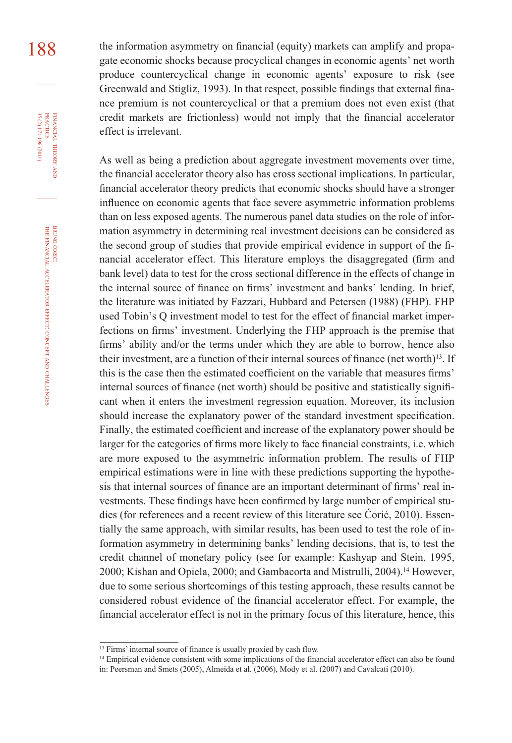188 the information asymmetry on financial (equity) markets can amplify and propagate economic shocks because procyclical changes in economic agents' net worth produce countercyclical change in economic agents' exposure to risk (see Greenwald and Stigliz, 1993). In that respect, possible findings that external finance premium is not countercyclical or that a premium does not even exist (that credit markets are frictionless) would not imply that the financial accelerator effect is irrelevant.

> As well as being a prediction about aggregate investment movements over time, the financial accelerator theory also has cross sectional implications. In particular, financial accelerator theory predicts that economic shocks should have a stronger influence on economic agents that face severe asymmetric information problems than on less exposed agents. The numerous panel data studies on the role of information asymmetry in determining real investment decisions can be considered as the second group of studies that provide empirical evidence in support of the financial accelerator effect. This literature employs the disaggregated (firm and bank level) data to test for the cross sectional difference in the effects of change in the internal source of finance on firms' investment and banks' lending. In brief, the literature was initiated by Fazzari, Hubbard and Petersen (1988) (FHP). FHP used Tobin's Q investment model to test for the effect of financial market imperfections on firms' investment. Underlying the FHP approach is the premise that firms' ability and/or the terms under which they are able to borrow, hence also their investment, are a function of their internal sources of finance (net worth)<sup>13</sup>. If this is the case then the estimated coefficient on the variable that measures firms' internal sources of finance (net worth) should be positive and statistically significant when it enters the investment regression equation. Moreover, its inclusion should increase the explanatory power of the standard investment specification. Finally, the estimated coefficient and increase of the explanatory power should be larger for the categories of firms more likely to face financial constraints, i.e. which are more exposed to the asymmetric information problem. The results of FHP empirical estimations were in line with these predictions supporting the hypothesis that internal sources of finance are an important determinant of firms' real investments. These findings have been confirmed by large number of empirical studies (for references and a recent review of this literature see Ćorić, 2010). Essentially the same approach, with similar results, has been used to test the role of information asymmetry in determining banks' lending decisions, that is, to test the credit channel of monetary policy (see for example: Kashyap and Stein, 1995, 2000; Kishan and Opiela, 2000; and Gambacorta and Mistrulli, 2004).<sup>14</sup> However, due to some serious shortcomings of this testing approach, these results cannot be considered robust evidence of the financial accelerator effect. For example, the financial accelerator effect is not in the primary focus of this literature, hence, this

<sup>&</sup>lt;sup>13</sup> Firms' internal source of finance is usually proxied by cash flow.

<sup>&</sup>lt;sup>14</sup> Empirical evidence consistent with some implications of the financial accelerator effect can also be found in: Peersman and Smets (2005), Almeida et al. (2006), Mody et al. (2007) and Cavalcati (2010).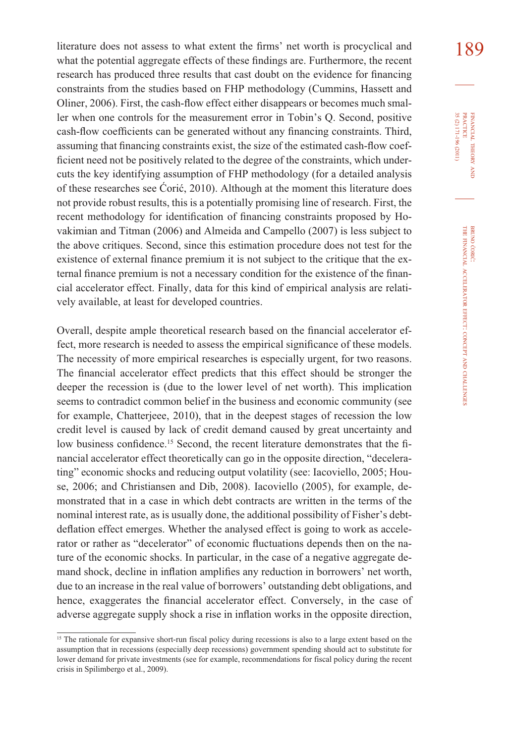literature does not assess to what extent the firms' net worth is procyclical and  $189$ what the potential aggregate effects of these findings are. Furthermore, the recent research has produced three results that cast doubt on the evidence for financing constraints from the studies based on FHP methodology (Cummins, Hassett and Oliner, 2006). First, the cash-flow effect either disappears or becomes much smaller when one controls for the measurement error in Tobin's Q. Second, positive cash-flow coefficients can be generated without any financing constraints. Third, assuming that financing constraints exist, the size of the estimated cash-flow coefficient need not be positively related to the degree of the constraints, which undercuts the key identifying assumption of FHP methodology (for a detailed analysis of these researches see Ćorić, 2010). Although at the moment this literature does not provide robust results, this is a potentially promising line of research. First, the recent methodology for identification of financing constraints proposed by Hovakimian and Titman (2006) and Almeida and Campello (2007) is less subject to the above critiques. Second, since this estimation procedure does not test for the existence of external finance premium it is not subject to the critique that the external finance premium is not a necessary condition for the existence of the financial accelerator effect. Finally, data for this kind of empirical analysis are relatively available, at least for developed countries.

Overall, despite ample theoretical research based on the financial accelerator effect, more research is needed to assess the empirical significance of these models. The necessity of more empirical researches is especially urgent, for two reasons. The financial accelerator effect predicts that this effect should be stronger the deeper the recession is (due to the lower level of net worth). This implication seems to contradict common belief in the business and economic community (see for example, Chatterjeee, 2010), that in the deepest stages of recession the low credit level is caused by lack of credit demand caused by great uncertainty and low business confidence.<sup>15</sup> Second, the recent literature demonstrates that the financial accelerator effect theoretically can go in the opposite direction, "decelerating" economic shocks and reducing output volatility (see: Iacoviello, 2005; House, 2006; and Christiansen and Dib, 2008). Iacoviello (2005), for example, demonstrated that in a case in which debt contracts are written in the terms of the nominal interest rate, as is usually done, the additional possibility of Fisher's debtdeflation effect emerges. Whether the analysed effect is going to work as accelerator or rather as "decelerator" of economic fluctuations depends then on the nature of the economic shocks. In particular, in the case of a negative aggregate demand shock, decline in inflation amplifies any reduction in borrowers' net worth, due to an increase in the real value of borrowers' outstanding debt obligations, and hence, exaggerates the financial accelerator effect. Conversely, in the case of adverse aggregate supply shock a rise in inflation works in the opposite direction,

<sup>&</sup>lt;sup>15</sup> The rationale for expansive short-run fiscal policy during recessions is also to a large extent based on the assumption that in recessions (especially deep recessions) government spending should act to substitute for lower demand for private investments (see for example, recommendations for fiscal policy during the recent crisis in Spilimbergo et al., 2009).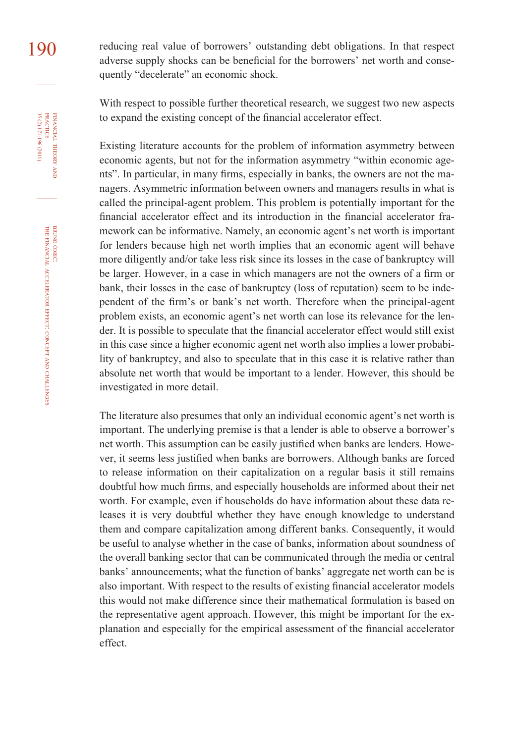190 reducing real value of borrowers' outstanding debt obligations. In that respect adverse supply shocks can be beneficial for the borrowers' net worth and consequently "decelerate" an economic shock.

> With respect to possible further theoretical research, we suggest two new aspects to expand the existing concept of the financial accelerator effect.

> Existing literature accounts for the problem of information asymmetry between economic agents, but not for the information asymmetry "within economic agents". In particular, in many firms, especially in banks, the owners are not the managers. Asymmetric information between owners and managers results in what is called the principal-agent problem. This problem is potentially important for the financial accelerator effect and its introduction in the financial accelerator framework can be informative. Namely, an economic agent's net worth is important for lenders because high net worth implies that an economic agent will behave more diligently and/or take less risk since its losses in the case of bankruptcy will be larger. However, in a case in which managers are not the owners of a firm or bank, their losses in the case of bankruptcy (loss of reputation) seem to be independent of the firm's or bank's net worth. Therefore when the principal-agent problem exists, an economic agent's net worth can lose its relevance for the lender. It is possible to speculate that the financial accelerator effect would still exist in this case since a higher economic agent net worth also implies a lower probability of bankruptcy, and also to speculate that in this case it is relative rather than absolute net worth that would be important to a lender. However, this should be investigated in more detail.

> The literature also presumes that only an individual economic agent's net worth is important. The underlying premise is that a lender is able to observe a borrower's net worth. This assumption can be easily justified when banks are lenders. However, it seems less justified when banks are borrowers. Although banks are forced to release information on their capitalization on a regular basis it still remains doubtful how much firms, and especially households are informed about their net worth. For example, even if households do have information about these data releases it is very doubtful whether they have enough knowledge to understand them and compare capitalization among different banks. Consequently, it would be useful to analyse whether in the case of banks, information about soundness of the overall banking sector that can be communicated through the media or central banks' announcements; what the function of banks' aggregate net worth can be is also important. With respect to the results of existing financial accelerator models this would not make difference since their mathematical formulation is based on the representative agent approach. However, this might be important for the explanation and especially for the empirical assessment of the financial accelerator effect.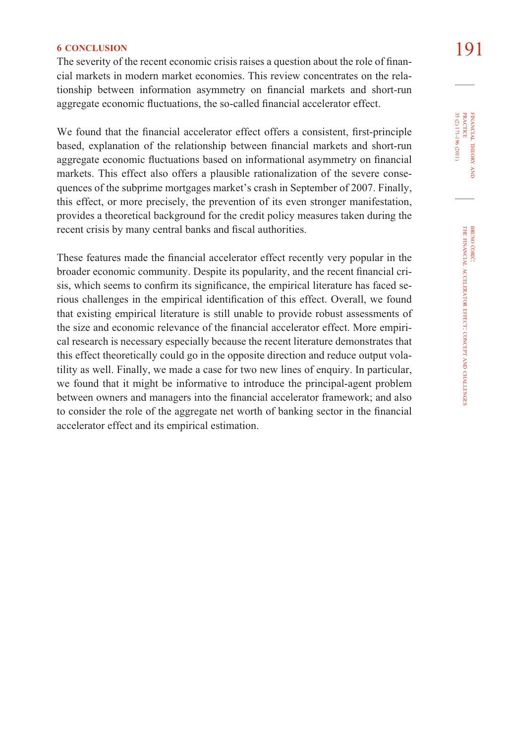**6 CONCLUSION** 191 **191**<br>The severity of the recent economic crisis raises a question about the role of financial markets in modern market economies. This review concentrates on the relationship between information asymmetry on financial markets and short-run aggregate economic fluctuations, the so-called financial accelerator effect.

We found that the financial accelerator effect offers a consistent, first-principle based, explanation of the relationship between financial markets and short-run aggregate economic fluctuations based on informational asymmetry on financial markets. This effect also offers a plausible rationalization of the severe consequences of the subprime mortgages market's crash in September of 2007. Finally, this effect, or more precisely, the prevention of its even stronger manifestation, provides a theoretical background for the credit policy measures taken during the recent crisis by many central banks and fiscal authorities.

These features made the financial accelerator effect recently very popular in the broader economic community. Despite its popularity, and the recent financial crisis, which seems to confirm its significance, the empirical literature has faced serious challenges in the empirical identification of this effect. Overall, we found that existing empirical literature is still unable to provide robust assessments of the size and economic relevance of the financial accelerator effect. More empirical research is necessary especially because the recent literature demonstrates that this effect theoretically could go in the opposite direction and reduce output volatility as well. Finally, we made a case for two new lines of enquiry. In particular, we found that it might be informative to introduce the principal-agent problem between owners and managers into the financial accelerator framework; and also to consider the role of the aggregate net worth of banking sector in the financial accelerator effect and its empirical estimation.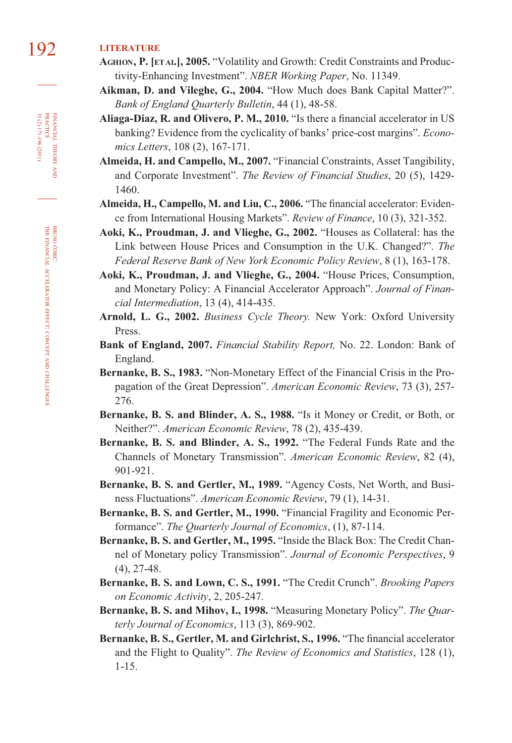# 192 **LITERATURE**

- **AGHION, P. [ETAL.], 2005.** "Volatility and Growth: Credit Constraints and Productivity-Enhancing Investment". *NBER Working Paper*, No. 11349.
- **Aikman, D. and Vileghe, G., 2004.** "How Much does Bank Capital Matter?". *Bank of England Quarterly Bulletin*, 44 (1), 48-58.
- Aliaga-Diaz, R. and Olivero, P. M., 2010. "Is there a financial accelerator in US banking? Evidence from the cyclicality of banks' price-cost margins". *Economics Letters*, 108 (2), 167-171.
- **Almeida, H. and Campello, M., 2007.** "Financial Constraints, Asset Tangibility, and Corporate Investment". *The Review of Financial Studies*, 20 (5), 1429- 1460.
- Almeida, H., Campello, M. and Liu, C., 2006. "The financial accelerator: Evidence from International Housing Markets". *Review of Finance*, 10 (3), 321-352.
- **Aoki, K., Proudman, J. and Vlieghe, G., 2002.** "Houses as Collateral: has the Link between House Prices and Consumption in the U.K. Changed?". *The Federal Reserve Bank of New York Economic Policy Review*, 8 (1), 163-178.
- **Aoki, K., Proudman, J. and Vlieghe, G., 2004.** "House Prices, Consumption, and Monetary Policy: A Financial Accelerator Approach". *Journal of Financial Intermediation*, 13 (4), 414-435.
- **Arnold, L. G., 2002.** *Business Cycle Theory.* New York: Oxford University Press.
- **Bank of England, 2007.** *Financial Stability Report,* No. 22. London: Bank of England.
- **Bernanke, B. S., 1983.** "Non-Monetary Effect of the Financial Crisis in the Propagation of the Great Depression". *American Economic Review*, 73 (3), 257- 276.
- **Bernanke, B. S. and Blinder, A. S., 1988.** "Is it Money or Credit, or Both, or Neither?". *American Economic Review*, 78 (2), 435-439.
- **Bernanke, B. S. and Blinder, A. S., 1992.** "The Federal Funds Rate and the Channels of Monetary Transmission". *American Economic Review*, 82 (4), 901-921.
- **Bernanke, B. S. and Gertler, M., 1989.** "Agency Costs, Net Worth, and Business Fluctuations". *American Economic Review*, 79 (1), 14-31.
- **Bernanke, B. S. and Gertler, M., 1990.** "Financial Fragility and Economic Performance". *The Quarterly Journal of Economics*, (1), 87-114.
- **Bernanke, B. S. and Gertler, M., 1995.** "Inside the Black Box: The Credit Channel of Monetary policy Transmission". *Journal of Economic Perspectives*, 9 (4), 27-48.
- **Bernanke, B. S. and Lown, C. S., 1991.** "The Credit Crunch". *Brooking Papers on Economic Activity*, 2, 205-247.
- **Bernanke, B. S. and Mihov, I., 1998.** "Measuring Monetary Policy". *The Quarterly Journal of Economics*, 113 (3), 869-902.
- Bernanke, B. S., Gertler, M. and Girlchrist, S., 1996. "The financial accelerator and the Flight to Quality". *The Review of Economics and Statistics*, 128 (1), 1-15.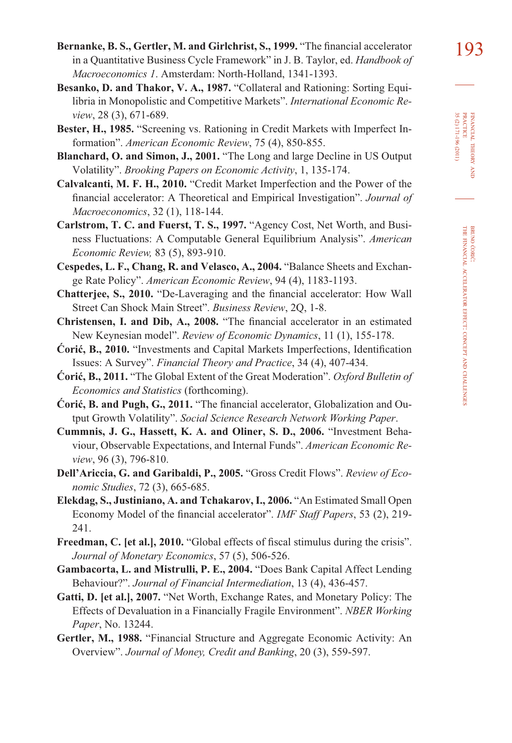FINANCIAL

THEORY FINANCIAL THEORY AND<br>PRACTICE<br>35 (2) 171-196 (2011) 35 (2) 171-196 (2011) PRACTICE

> BRUNO ĆORIĆ:

THE FINANCIAL

ACCELERATOR

EFFECT: CONCEPT

AND

CHALLENGES

- **Besanko, D. and Thakor, V. A., 1987.** "Collateral and Rationing: Sorting Equilibria in Monopolistic and Competitive Markets". *International Economic Review*, 28 (3), 671-689.
- **Bester, H., 1985.** "Screening vs. Rationing in Credit Markets with Imperfect Information". *American Economic Review*, 75 (4), 850-855.
- **Blanchard, O. and Simon, J., 2001.** "The Long and large Decline in US Output Volatility". *Brooking Papers on Economic Activity*, 1, 135-174.
- **Calvalcanti, M. F. H., 2010.** "Credit Market Imperfection and the Power of the financial accelerator: A Theoretical and Empirical Investigation". *Journal of Macroeconomics*, 32 (1), 118-144.
- **Carlstrom, T. C. and Fuerst, T. S., 1997.** "Agency Cost, Net Worth, and Business Fluctuations: A Computable General Equilibrium Analysis". *American Economic Review,* 83 (5), 893-910.
- **Cespedes, L. F., Chang, R. and Velasco, A., 2004.** "Balance Sheets and Exchange Rate Policy". *American Economic Review*, 94 (4), 1183-1193.
- **Chatterjee, S., 2010.** "De-Laveraging and the financial accelerator: How Wall Street Can Shock Main Street". *Business Review*, 2Q, 1-8.
- Christensen, I. and Dib, A., 2008. "The financial accelerator in an estimated New Keynesian model". *Review of Economic Dynamics*, 11 (1), 155-178.
- **Ćorić, B., 2010.** "Investments and Capital Markets Imperfections, Identification Issues: A Survey". *Financial Theory and Practice*, 34 (4), 407-434.
- **Ćorić, B., 2011.** "The Global Extent of the Great Moderation". *Oxford Bulletin of Economics and Statistics* (forthcoming).
- **Ćorić, B. and Pugh, G., 2011.** "The financial accelerator, Globalization and Output Growth Volatility". *Social Science Research Network Working Paper*.
- **Cummnis, J. G., Hassett, K. A. and Oliner, S. D., 2006.** "Investment Behaviour, Observable Expectations, and Internal Funds". *American Economic Review*, 96 (3), 796-810.
- **Dell'Ariccia, G. and Garibaldi, P., 2005.** "Gross Credit Flows". *Review of Economic Studies*, 72 (3), 665-685.
- **Elekdag, S., Justiniano, A. and Tchakarov, I., 2006.** "An Estimated Small Open Economy Model of the financial accelerator". *IMF Staff Papers*, 53 (2), 219-241.
- Freedman, C. [et al.], 2010. "Global effects of fiscal stimulus during the crisis". *Journal of Monetary Economics*, 57 (5), 506-526.
- **Gambacorta, L. and Mistrulli, P. E., 2004.** "Does Bank Capital Affect Lending Behaviour?". *Journal of Financial Intermediation*, 13 (4), 436-457.
- **Gatti, D. [et al.], 2007.** "Net Worth, Exchange Rates, and Monetary Policy: The Effects of Devaluation in a Financially Fragile Environment". *NBER Working Paper*, No. 13244.
- **Gertler, M., 1988.** "Financial Structure and Aggregate Economic Activity: An Overview". *Journal of Money, Credit and Banking*, 20 (3), 559-597.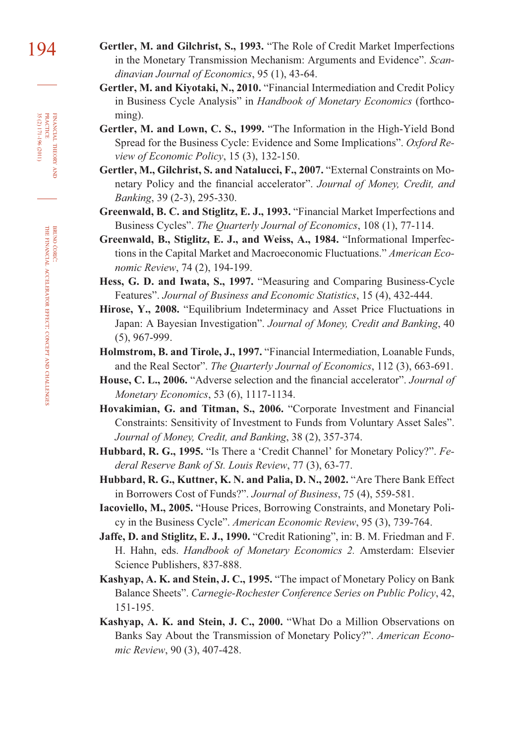- 194 **Gertler, M. and Gilchrist, S., 1993.** "The Role of Credit Market Imperfections in the Monetary Transmission Mechanism: Arguments and Evidence". *Scandinavian Journal of Economics*, 95 (1), 43-64.
	- **Gertler, M. and Kiyotaki, N., 2010.** "Financial Intermediation and Credit Policy in Business Cycle Analysis" in *Handbook of Monetary Economics* (forthcoming).
	- **Gertler, M. and Lown, C. S., 1999.** "The Information in the High-Yield Bond Spread for the Business Cycle: Evidence and Some Implications". *Oxford Review of Economic Policy*, 15 (3), 132-150.
	- **Gertler, M., Gilchrist, S. and Natalucci, F., 2007.** "External Constraints on Monetary Policy and the financial accelerator". Journal of Money, Credit, and *Banking*, 39 (2-3), 295-330.
	- **Greenwald, B. C. and Stiglitz, E. J., 1993.** "Financial Market Imperfections and Business Cycles". *The Quarterly Journal of Economics*, 108 (1), 77-114.
	- **Greenwald, B., Stiglitz, E. J., and Weiss, A., 1984.** "Informational Imperfections in the Capital Market and Macroeconomic Fluctuations." *American Economic Review*, 74 (2), 194-199.
	- **Hess, G. D. and Iwata, S., 1997.** "Measuring and Comparing Business-Cycle Features". *Journal of Business and Economic Statistics*, 15 (4), 432-444.
	- **Hirose, Y., 2008.** "Equilibrium Indeterminacy and Asset Price Fluctuations in Japan: A Bayesian Investigation". *Journal of Money, Credit and Banking*, 40 (5), 967-999.
	- **Holmstrom, B. and Tirole, J., 1997.** "Financial Intermediation, Loanable Funds, and the Real Sector". *The Quarterly Journal of Economics*, 112 (3), 663-691.
	- House, C. L., 2006. "Adverse selection and the financial accelerator". *Journal of Monetary Economics*, 53 (6), 1117-1134.
	- **Hovakimian, G. and Titman, S., 2006.** "Corporate Investment and Financial Constraints: Sensitivity of Investment to Funds from Voluntary Asset Sales". *Journal of Money, Credit, and Banking*, 38 (2), 357-374.
	- **Hubbard, R. G., 1995.** "Is There a 'Credit Channel' for Monetary Policy?". *Federal Reserve Bank of St. Louis Review*, 77 (3), 63-77.
	- **Hubbard, R. G., Kuttner, K. N. and Palia, D. N., 2002.** "Are There Bank Effect in Borrowers Cost of Funds?". *Journal of Business*, 75 (4), 559-581.
	- **Iacoviello, M., 2005.** "House Prices, Borrowing Constraints, and Monetary Policy in the Business Cycle". *American Economic Review*, 95 (3), 739-764.
	- **Jaffe, D. and Stiglitz, E. J., 1990.** "Credit Rationing", in: B. M. Friedman and F. H. Hahn, eds. *Handbook of Monetary Economics 2.* Amsterdam: Elsevier Science Publishers, 837-888.
	- **Kashyap, A. K. and Stein, J. C., 1995.** "The impact of Monetary Policy on Bank Balance Sheets". *Carnegie-Rochester Conference Series on Public Policy*, 42, 151-195.
	- **Kashyap, A. K. and Stein, J. C., 2000.** "What Do a Million Observations on Banks Say About the Transmission of Monetary Policy?". *American Economic Review*, 90 (3), 407-428.

FINANCIAL

35 (2) 171-196 (2011)

THEORY FINANCIAL THEORY AND PRACTICE 35 (2) 171-196 (2011) PRACTICE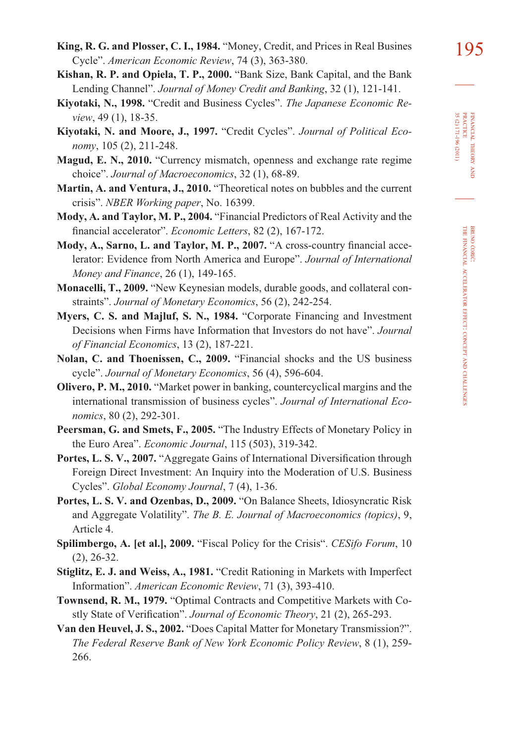FINANCIAL

THEORY FINANCIAL THEORY AND<br>PRACTICE<br>35 (2) 171-196 (2011) 35 (2) 171-196 (2011) PRACTICE

- 195 **King, R. G. and Plosser, C. I., 1984.** "Money, Credit, and Prices in Real Busines Cycle". *American Economic Review*, 74 (3), 363-380.
- **Kishan, R. P. and Opiela, T. P., 2000.** "Bank Size, Bank Capital, and the Bank Lending Channel". *Journal of Money Credit and Banking*, 32 (1), 121-141.
- **Kiyotaki, N., 1998.** "Credit and Business Cycles". *The Japanese Economic Review*, 49 (1), 18-35.
- **Kiyotaki, N. and Moore, J., 1997.** "Credit Cycles". *Journal of Political Economy*, 105 (2), 211-248.
- **Magud, E. N., 2010.** "Currency mismatch, openness and exchange rate regime choice". *Journal of Macroeconomics*, 32 (1), 68-89.
- **Martin, A. and Ventura, J., 2010.** "Theoretical notes on bubbles and the current crisis". *NBER Working paper*, No. 16399.
- **Mody, A. and Taylor, M. P., 2004.** "Financial Predictors of Real Activity and the financial accelerator". *Economic Letters*, 82(2), 167-172.
- Mody, A., Sarno, L. and Taylor, M. P., 2007. "A cross-country financial accelerator: Evidence from North America and Europe". *Journal of International Money and Finance*, 26 (1), 149-165.
- **Monacelli, T., 2009.** "New Keynesian models, durable goods, and collateral constraints". *Journal of Monetary Economics*, 56 (2), 242-254.
- **Myers, C. S. and Majluf, S. N., 1984.** "Corporate Financing and Investment Decisions when Firms have Information that Investors do not have". *Journal of Financial Economics*, 13 (2), 187-221.
- **Nolan, C. and Thoenissen, C., 2009.** "Financial shocks and the US business cycle". *Journal of Monetary Economics*, 56 (4), 596-604.
- **Olivero, P. M., 2010.** "Market power in banking, countercyclical margins and the international transmission of business cycles". *Journal of International Economics*, 80 (2), 292-301.
- **Peersman, G. and Smets, F., 2005.** "The Industry Effects of Monetary Policy in the Euro Area". *Economic Journal*, 115 (503), 319-342.
- Portes, L. S. V., 2007. "Aggregate Gains of International Diversification through Foreign Direct Investment: An Inquiry into the Moderation of U.S. Business Cycles". *Global Economy Journal*, 7 (4), 1-36.
- **Portes, L. S. V. and Ozenbas, D., 2009.** "On Balance Sheets, Idiosyncratic Risk and Aggregate Volatility". *The B. E. Journal of Macroeconomics (topics)*, 9, Article 4.
- **Spilimbergo, A. [et al.], 2009.** "Fiscal Policy for the Crisis". *CESifo Forum*, 10 (2), 26-32.
- **Stiglitz, E. J. and Weiss, A., 1981.** "Credit Rationing in Markets with Imperfect Information". *American Economic Review*, 71 (3), 393-410.
- **Townsend, R. M., 1979.** "Optimal Contracts and Competitive Markets with Costly State of Verification". *Journal of Economic Theory*, 21 (2), 265-293.
- **Van den Heuvel, J. S., 2002.** "Does Capital Matter for Monetary Transmission?". *The Federal Reserve Bank of New York Economic Policy Review*, 8 (1), 259- 266.